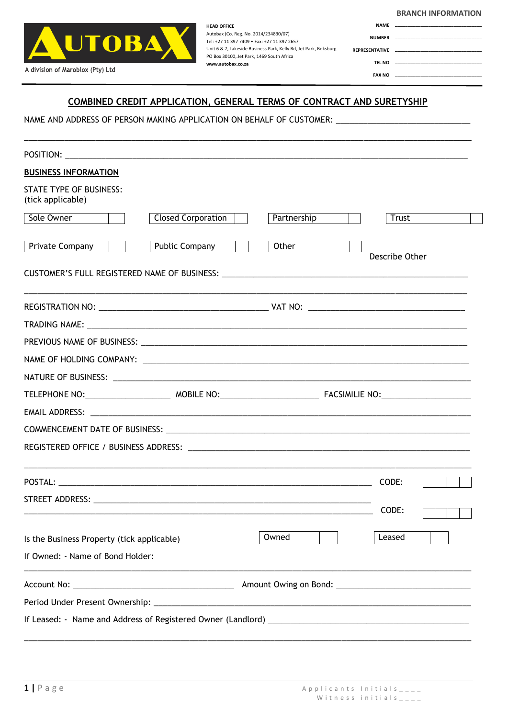| <b>BRANCH INFORMATION</b> |
|---------------------------|
|                           |
|                           |
|                           |

**\_\_\_\_\_\_\_\_\_\_\_\_\_\_\_\_\_\_\_\_\_\_\_\_\_\_\_\_\_\_\_\_\_\_ \_\_\_\_\_\_\_\_\_\_\_\_\_\_\_\_\_\_\_\_\_\_\_\_\_\_\_\_\_\_\_\_\_\_ \_\_\_\_\_\_\_\_\_\_\_\_\_\_\_\_\_\_\_\_\_\_\_\_\_\_\_\_\_\_\_\_\_\_ \_\_\_\_\_\_\_\_\_\_\_\_\_\_\_\_\_\_\_\_\_\_\_\_\_\_\_\_\_\_\_\_\_\_**



**HEAD OFFICE** Autobax (Co. Reg. No. 2014/234830/07) Tel: +27 11 397 7409 • Fax: +27 11 397 2657 Unit 6 & 7, Lakeside Business Park, Kelly Rd, Jet Park, Boksburg PO Box 30100, Jet Park, 1469 South Africa **www.autobax.co.za**

**NAME NUMBER REPRESENTATIVE TEL NO FAX NO**

## **COMBINED CREDIT APPLICATION, GENERAL TERMS OF CONTRACT AND SURETYSHIP**

\_\_\_\_\_\_\_\_\_\_\_\_\_\_\_\_\_\_\_\_\_\_\_\_\_\_\_\_\_\_\_\_\_\_\_\_\_\_\_\_\_\_\_\_\_\_\_\_\_\_\_\_\_\_\_\_\_\_\_\_\_\_\_\_\_\_\_\_\_\_\_\_\_\_\_\_\_\_\_\_\_\_\_\_\_\_\_\_\_\_\_\_\_\_\_\_\_\_\_\_

NAME AND ADDRESS OF PERSON MAKING APPLICATION ON BEHALF OF CUSTOMER: \_\_\_\_\_\_\_\_\_\_\_

| <b>BUSINESS INFORMATION</b>                         |                                                                                                                               |
|-----------------------------------------------------|-------------------------------------------------------------------------------------------------------------------------------|
| <b>STATE TYPE OF BUSINESS:</b><br>(tick applicable) |                                                                                                                               |
| Sole Owner<br><b>Closed Corporation</b>             | Partnership<br>Trust                                                                                                          |
| Public Company<br>Private Company                   | Other<br>Describe Other                                                                                                       |
|                                                     |                                                                                                                               |
|                                                     |                                                                                                                               |
|                                                     |                                                                                                                               |
|                                                     |                                                                                                                               |
|                                                     |                                                                                                                               |
|                                                     |                                                                                                                               |
|                                                     |                                                                                                                               |
|                                                     |                                                                                                                               |
|                                                     |                                                                                                                               |
|                                                     |                                                                                                                               |
|                                                     | CODE:                                                                                                                         |
|                                                     |                                                                                                                               |
|                                                     | CODE:<br><u> Andreas Andreas Andreas Andreas Andreas Andreas Andreas Andreas Andreas Andreas Andreas Andreas Andreas Andr</u> |
| Is the Business Property (tick applicable)          | Owned<br>Leased                                                                                                               |
| If Owned: - Name of Bond Holder:                    |                                                                                                                               |
|                                                     |                                                                                                                               |
|                                                     |                                                                                                                               |
|                                                     |                                                                                                                               |

 $\_$  ,  $\_$  ,  $\_$  ,  $\_$  ,  $\_$  ,  $\_$  ,  $\_$  ,  $\_$  ,  $\_$  ,  $\_$  ,  $\_$  ,  $\_$  ,  $\_$  ,  $\_$  ,  $\_$  ,  $\_$  ,  $\_$  ,  $\_$  ,  $\_$  ,  $\_$  ,  $\_$  ,  $\_$  ,  $\_$  ,  $\_$  ,  $\_$  ,  $\_$  ,  $\_$  ,  $\_$  ,  $\_$  ,  $\_$  ,  $\_$  ,  $\_$  ,  $\_$  ,  $\_$  ,  $\_$  ,  $\_$  ,  $\_$  ,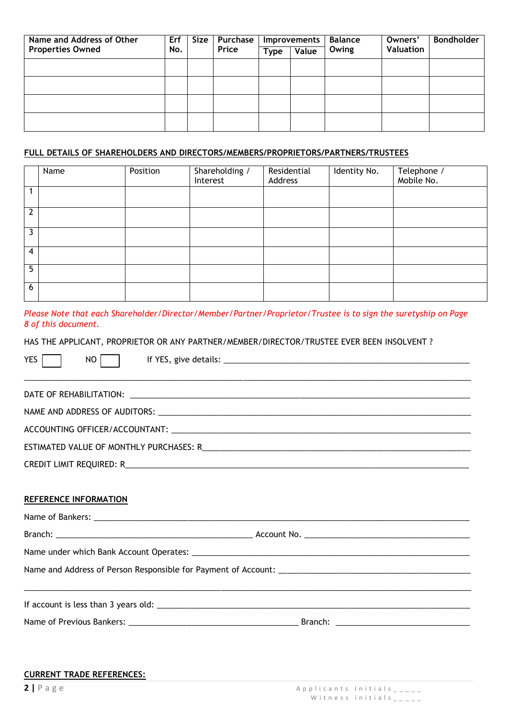| Name and Address of Other | <b>Erf</b> | Size | Purchase <sup>1</sup> |             | Improvements | <b>Balance</b> | Owners'   | <b>Bondholder</b> |
|---------------------------|------------|------|-----------------------|-------------|--------------|----------------|-----------|-------------------|
| <b>Properties Owned</b>   | No.        |      | Price                 | <b>Type</b> | Value        | Owing          | Valuation |                   |
|                           |            |      |                       |             |              |                |           |                   |
|                           |            |      |                       |             |              |                |           |                   |
|                           |            |      |                       |             |              |                |           |                   |
|                           |            |      |                       |             |              |                |           |                   |
|                           |            |      |                       |             |              |                |           |                   |
|                           |            |      |                       |             |              |                |           |                   |

## **FULL DETAILS OF SHAREHOLDERS AND DIRECTORS/MEMBERS/PROPRIETORS/PARTNERS/TRUSTEES**

|   | Name | Position | Shareholding /<br>Interest | Residential<br>Address | Identity No. | Telephone /<br>Mobile No. |
|---|------|----------|----------------------------|------------------------|--------------|---------------------------|
|   |      |          |                            |                        |              |                           |
| າ |      |          |                            |                        |              |                           |
| 3 |      |          |                            |                        |              |                           |
| 4 |      |          |                            |                        |              |                           |
| 5 |      |          |                            |                        |              |                           |
| 6 |      |          |                            |                        |              |                           |

*Please Note that each Shareholder/Director/Member/Partner/Proprietor/Trustee is to sign the suretyship on Page 8 of this document.*

HAS THE APPLICANT, PROPRIETOR OR ANY PARTNER/MEMBER/DIRECTOR/TRUSTEE EVER BEEN INSOLVENT ?

| <b>YES</b><br><b>NO</b><br><u>,这就是这个人的人,我们就是这个人的人,我们就是这个人的人,我们就是这个人的人,我们就是这个人的人,我们就是这个人的人,我们就是</u> |  |
|----------------------------------------------------------------------------------------------------|--|
|                                                                                                    |  |
|                                                                                                    |  |
|                                                                                                    |  |
|                                                                                                    |  |
|                                                                                                    |  |
| <b>REFERENCE INFORMATION</b>                                                                       |  |
|                                                                                                    |  |
|                                                                                                    |  |
|                                                                                                    |  |
|                                                                                                    |  |
|                                                                                                    |  |

## **CURRENT TRADE REFERENCES:**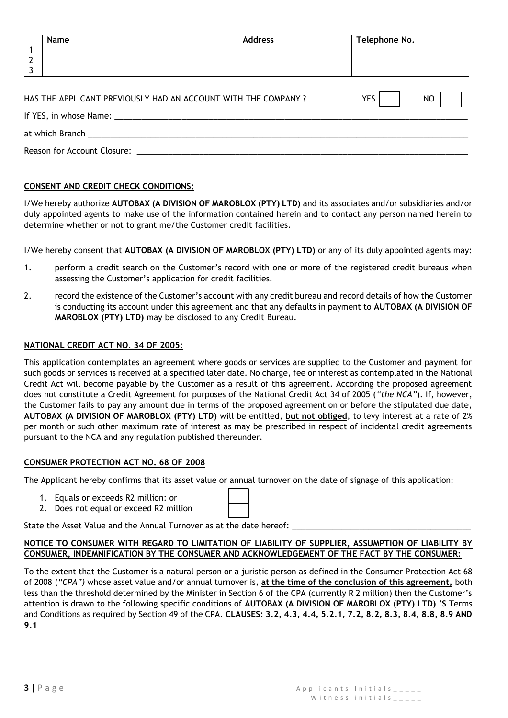|                | Name                                                          | <b>Address</b>   | Telephone No. |  |  |  |
|----------------|---------------------------------------------------------------|------------------|---------------|--|--|--|
|                |                                                               |                  |               |  |  |  |
| $\overline{2}$ |                                                               |                  |               |  |  |  |
| 3              |                                                               |                  |               |  |  |  |
|                | HAS THE APPLICANT PREVIOUSLY HAD AN ACCOUNT WITH THE COMPANY? | NO<br><b>YES</b> |               |  |  |  |
|                |                                                               |                  |               |  |  |  |
|                | Reason for Account Closure:                                   |                  |               |  |  |  |

## **CONSENT AND CREDIT CHECK CONDITIONS:**

I/We hereby authorize **AUTOBAX (A DIVISION OF MAROBLOX (PTY) LTD)** and its associates and/or subsidiaries and/or duly appointed agents to make use of the information contained herein and to contact any person named herein to determine whether or not to grant me/the Customer credit facilities.

I/We hereby consent that **AUTOBAX (A DIVISION OF MAROBLOX (PTY) LTD)** or any of its duly appointed agents may:

- 1. perform a credit search on the Customer's record with one or more of the registered credit bureaus when assessing the Customer's application for credit facilities.
- 2. record the existence of the Customer's account with any credit bureau and record details of how the Customer is conducting its account under this agreement and that any defaults in payment to **AUTOBAX (A DIVISION OF MAROBLOX (PTY) LTD)** may be disclosed to any Credit Bureau.

## **NATIONAL CREDIT ACT NO. 34 OF 2005:**

This application contemplates an agreement where goods or services are supplied to the Customer and payment for such goods or services is received at a specified later date. No charge, fee or interest as contemplated in the National Credit Act will become payable by the Customer as a result of this agreement. According the proposed agreement does not constitute a Credit Agreement for purposes of the National Credit Act 34 of 2005 (*"the NCA"*). If, however, the Customer fails to pay any amount due in terms of the proposed agreement on or before the stipulated due date, **AUTOBAX (A DIVISION OF MAROBLOX (PTY) LTD)** will be entitled, **but not obliged**, to levy interest at a rate of 2% per month or such other maximum rate of interest as may be prescribed in respect of incidental credit agreements pursuant to the NCA and any regulation published thereunder.

## **CONSUMER PROTECTION ACT NO. 68 OF 2008**

The Applicant hereby confirms that its asset value or annual turnover on the date of signage of this application:

- 1. Equals or exceeds R2 million: or
- 2. Does not equal or exceed R2 million

| State the Asset Value and the Annual Turnover as at the date hereof: |  |
|----------------------------------------------------------------------|--|
|----------------------------------------------------------------------|--|

## **NOTICE TO CONSUMER WITH REGARD TO LIMITATION OF LIABILITY OF SUPPLIER, ASSUMPTION OF LIABILITY BY CONSUMER, INDEMNIFICATION BY THE CONSUMER AND ACKNOWLEDGEMENT OF THE FACT BY THE CONSUMER:**

To the extent that the Customer is a natural person or a juristic person as defined in the Consumer Protection Act 68 of 2008 (*"CPA")* whose asset value and/or annual turnover is, **at the time of the conclusion of this agreement,** both less than the threshold determined by the Minister in Section 6 of the CPA (currently R 2 million) then the Customer's attention is drawn to the following specific conditions of **AUTOBAX (A DIVISION OF MAROBLOX (PTY) LTD) 'S** Terms and Conditions as required by Section 49 of the CPA. **CLAUSES: 3.2, 4.3, 4.4, 5.2.1, 7.2, 8.2, 8.3, 8.4, 8.8, 8.9 AND 9.1**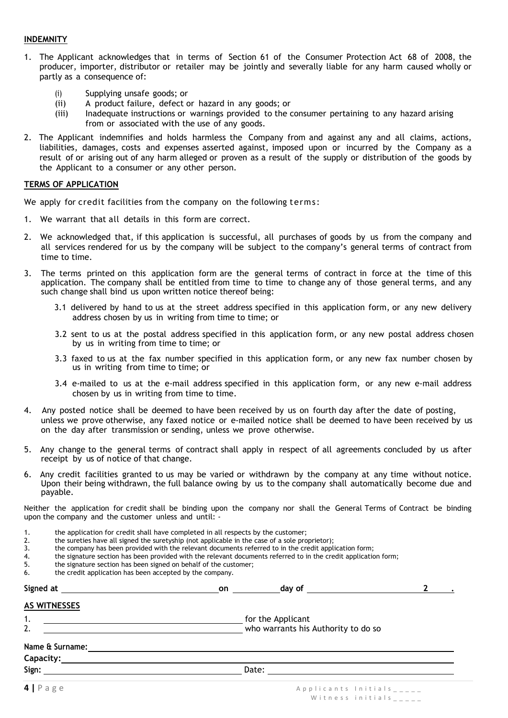## **INDEMNITY**

- 1. The Applicant acknowledges that in terms of Section 61 of the Consumer Protection Act 68 of 2008, the producer, importer, distributor or retailer may be jointly and severally liable for any harm caused wholly or partly as a consequence of:
	- (i) Supplying unsafe goods; or
	- (ii) A product failure, defect or hazard in any goods; or<br>(iii) lnadequate instructions or warnings provided to the o
	- Inadequate instructions or warnings provided to the consumer pertaining to any hazard arising from or associated with the use of any goods.
- 2. The Applicant indemnifies and holds harmless the Company from and against any and all claims, actions, liabilities, damages, costs and expenses asserted against, imposed upon or incurred by the Company as a result of or arising out of any harm alleged or proven as a result of the supply or distribution of the goods by the Applicant to a consumer or any other person.

## **TERMS OF APPLICATION**

We apply for credit facilities from the company on the following terms:

- 1. We warrant that all details in this form are correct.
- 2. We acknowledged that, if this application is successful, all purchases of goods by us from the company and all services rendered for us by the company will be subject to the company's general terms of contract from time to time.
- 3. The terms printed on this application form are the general terms of contract in force at the time of this application. The company shall be entitled from time to time to change any of those general terms, and any such change shall bind us upon written notice thereof being:
	- 3.1 delivered by hand to us at the street address specified in this application form, or any new delivery address chosen by us in writing from time to time; or
	- 3.2 sent to us at the postal address specified in this application form, or any new postal address chosen by us in writing from time to time; or
	- 3.3 faxed to us at the fax number specified in this application form, or any new fax number chosen by us in writing from time to time; or
	- 3.4 e-mailed to us at the e-mail address specified in this application form, or any new e-mail address chosen by us in writing from time to time.
- 4. Any posted notice shall be deemed to have been received by us on fourth day after the date of posting, unless we prove otherwise, any faxed notice or e-mailed notice shall be deemed to have been received by us on the day after transmission or sending, unless we prove otherwise.
- 5. Any change to the general terms of contract shall apply in respect of all agreements concluded by us after receipt by us of notice of that change.
- 6. Any credit facilities granted to us may be varied or withdrawn by the company at any time without notice. Upon their being withdrawn, the full balance owing by us to the company shall automatically become due and payable.

Neither the application for credit shall be binding upon the company nor shall the General Terms of Contract be binding upon the company and the customer unless and until: -

- 1. the application for credit shall have completed in all respects by the customer;
- 2. the sureties have all signed the suretyship (not applicable in the case of a sole proprietor);<br>3. the company has been provided with the relevant documents referred to in the credit apply
- 3. the company has been provided with the relevant documents referred to in the credit application form;<br>4. the signature section has been provided with the relevant documents referred to in the credit application
- 4. the signature section has been provided with the relevant documents referred to in the credit application form;<br>5. the signature section has been signed on behalf of the customer;
- 5. the signature section has been signed on behalf of the customer;<br>6. the credit application has been accepted by the company.
- the credit application has been accepted by the company.

|                                                                 | day of $\qquad \qquad$                                   | $\mathbf{2}$              |
|-----------------------------------------------------------------|----------------------------------------------------------|---------------------------|
| <b>AS WITNESSES</b>                                             |                                                          |                           |
| 1.<br><u> Alexandria (Carlo Alexandria)</u><br>$\overline{2}$ . | for the Applicant<br>who warrants his Authority to do so |                           |
| Name & Surname:                                                 |                                                          |                           |
|                                                                 | Date:                                                    |                           |
| $4$   Page                                                      |                                                          | Applicants Initials _____ |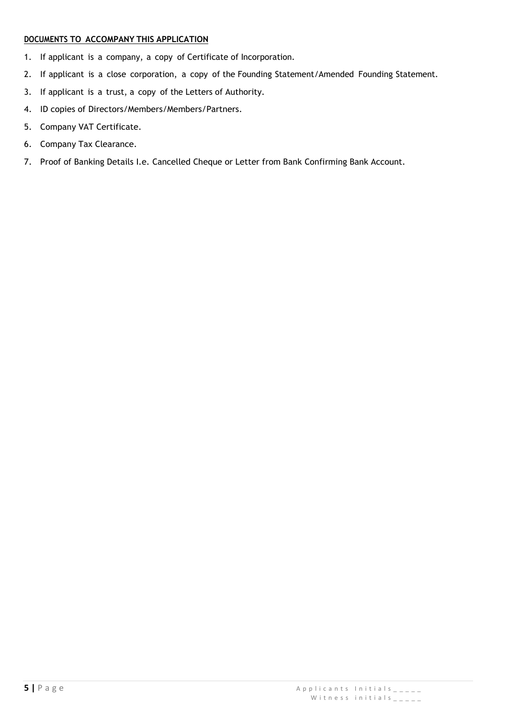## **DOCUMENTS TO ACCOMPANY THIS APPLICATION**

- 1. If applicant is a company, a copy of Certificate of Incorporation.
- 2. If applicant is a close corporation, a copy of the Founding Statement/Amended Founding Statement.
- 3. If applicant is a trust, a copy of the Letters of Authority.
- 4. ID copies of Directors/Members/Members/Partners.
- 5. Company VAT Certificate.
- 6. Company Tax Clearance.
- 7. Proof of Banking Details I.e. Cancelled Cheque or Letter from Bank Confirming Bank Account.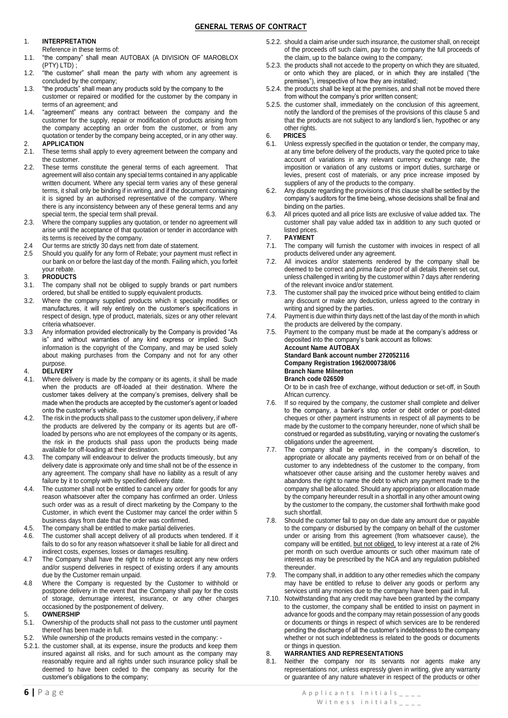### 1. **INTERPRETATION**

Reference in these terms of:

- 1.1. "the company" shall mean AUTOBAX (A DIVISION OF MAROBLOX (PTY) LTD) ;
- 1.2. "the customer" shall mean the party with whom any agreement is concluded by the company;
- 1.3. "the products" shall mean any products sold by the company to the customer or repaired or modified for the customer by the company in terms of an agreement; and
- 1.4. "agreement" means any contract between the company and the customer for the supply, repair or modification of products arising from the company accepting an order from the customer, or from any quotation or tender by the company being accepted, or in any other way.

### 2. **APPLICATION**

- 2.1. These terms shall apply to every agreement between the company and the customer.
- 2.2. These terms constitute the general terms of each agreement. That agreement will also contain any special terms contained in any applicable written document. Where any special term varies any of these general terms, it shall only be binding if in writing, and if the document containing it is signed by an authorised representative of the company. Where there is any inconsistency between any of these general terms and any special term, the special term shall prevail.
- 2.3. Where the company supplies any quotation, or tender no agreement will arise until the acceptance of that quotation or tender in accordance with its terms is received by the company.
- 2.4 Our terms are strictly 30 days nett from date of statement.
- 2.5 Should you qualify for any form of Rebate; your payment must reflect in our bank on or before the last day of the month. Failing which, you forfeit your rebate.

### 3. **PRODUCTS**

- 3.1. The company shall not be obliged to supply brands or part numbers ordered, but shall be entitled to supply equivalent products.
- 3.2. Where the company supplied products which it specially modifies or manufactures, it will rely entirely on the customer's specifications in respect of design, type of product, materials, sizes or any other relevant criteria whatsoever.
- 3.3 Any information provided electronically by the Company is provided "As is" and without warranties of any kind express or implied. Such information is the copyright of the Company, and may be used solely about making purchases from the Company and not for any other purpose.

### 4. **DELIVERY**

- 4.1. Where delivery is made by the company or its agents, it shall be made when the products are off-loaded at their destination. Where the customer takes delivery at the company's premises, delivery shall be made when the products are accepted by the customer's agent or loaded onto the customer's vehicle.
- 4.2. The risk in the products shall pass to the customer upon delivery, if where the products are delivered by the company or its agents but are offloaded by persons who are not employees of the company or its agents, the risk in the products shall pass upon the products being made available for off-loading at their destination.
- 4.3. The company will endeavour to deliver the products timeously, but any delivery date is approximate only and time shall not be of the essence in any agreement. The company shall have no liability as a result of any failure by it to comply with by specified delivery date.
- 4.4. The customer shall not be entitled to cancel any order for goods for any reason whatsoever after the company has confirmed an order. Unless such order was as a result of direct marketing by the Company to the Customer, in which event the Customer may cancel the order within 5 business days from date that the order was confirmed.
- 4.5. The company shall be entitled to make partial deliveries.
- 4.6. The customer shall accept delivery of all products when tendered. If it fails to do so for any reason whatsoever it shall be liable for all direct and indirect costs, expenses, losses or damages resulting.
- 4.7 The Company shall have the right to refuse to accept any new orders and/or suspend deliveries in respect of existing orders if any amounts due by the Customer remain unpaid.
- 4.8 Where the Company is requested by the Customer to withhold or postpone delivery in the event that the Company shall pay for the costs of storage, demurrage interest, insurance, or any other charges occasioned by the postponement of delivery.

### 5. **OWNERSHIP**

- 5.1. Ownership of the products shall not pass to the customer until payment thereof has been made in full.
- 5.2. While ownership of the products remains vested in the company: -
- 5.2.1. the customer shall, at its expense, insure the products and keep them insured against all risks, and for such amount as the company may reasonably require and all rights under such insurance policy shall be deemed to have been ceded to the company as security for the customer's obligations to the company;
- 5.2.2. should a claim arise under such insurance, the customer shall, on receipt of the proceeds off such claim, pay to the company the full proceeds of the claim, up to the balance owing to the company;
- 5.2.3. the products shall not accede to the property on which they are situated, or onto which they are placed, or in which they are installed ("the premises"), irrespective of how they are installed;
- 5.2.4. the products shall be kept at the premises, and shall not be moved there from without the company's prior written consent;
- 5.2.5. the customer shall, immediately on the conclusion of this agreement, notify the landlord of the premises of the provisions of this clause 5 and that the products are not subject to any landlord's lien, hypothec or any other rights.
- 6. **PRICES**
- Unless expressly specified in the quotation or tender, the company may, at any time before delivery of the products, vary the quoted price to take account of variations in any relevant currency exchange rate, the imposition or variation of any customs or import duties, surcharge or levies, present cost of materials, or any price increase imposed by suppliers of any of the products to the company.
- 6.2. Any dispute regarding the provisions of this clause shall be settled by the company's auditors for the time being, whose decisions shall be final and binding on the parties.
- 6.3. All prices quoted and all price lists are exclusive of value added tax. The customer shall pay value added tax in addition to any such quoted or listed prices.

## 7. **PAYMENT**

- The company will furnish the customer with invoices in respect of all products delivered under any agreement.
- 7.2. All invoices and/or statements rendered by the company shall be deemed to be correct and *prima facie* proof of all details therein set out, unless challenged in writing by the customer within 7 days after rendering of the relevant invoice and/or statement.
- 7.3. The customer shall pay the invoiced price without being entitled to claim any discount or make any deduction, unless agreed to the contrary in writing and signed by the parties.
- 7.4. Payment is due within thirty days nett of the last day of the month in which the products are delivered by the company.
- 7.5. Payment to the company must be made at the company's address or deposited into the company's bank account as follows: **Account Name AUTOBAX**

**Standard Bank account number 272052116 Company Registration 1962/000738/06 Branch Name Milnerton Branch code 026509**

Or to be in cash free of exchange, without deduction or set-off, in South African currency.

- 7.6. If so required by the company, the customer shall complete and deliver to the company, a banker's stop order or debit order or post-dated cheques or other payment instruments in respect of all payments to be made by the customer to the company hereunder, none of which shall be construed or regarded as substituting, varying or novating the customer's obligations under the agreement.
- 7.7. The company shall be entitled, in the company's discretion, to appropriate or allocate any payments received from or on behalf of the customer to any indebtedness of the customer to the company, from whatsoever other cause arising and the customer hereby waives and abandons the right to name the debt to which any payment made to the company shall be allocated. Should any appropriation or allocation made by the company hereunder result in a shortfall in any other amount owing by the customer to the company, the customer shall forthwith make good such shortfall
- 7.8. Should the customer fail to pay on due date any amount due or payable to the company or disbursed by the company on behalf of the customer under or arising from this agreement (from whatsoever cause), the company will be entitled, but not obliged, to levy interest at a rate of 2% per month on such overdue amounts or such other maximum rate of interest as may be prescribed by the NCA and any regulation published thereunder.
- 7.9. The company shall, in addition to any other remedies which the company may have be entitled to refuse to deliver any goods or perform any services until any monies due to the company have been paid in full.
- 7.10. Notwithstanding that any credit may have been granted by the company to the customer, the company shall be entitled to insist on payment in advance for goods and the company may retain possession of any goods or documents or things in respect of which services are to be rendered pending the discharge of all the customer's indebtedness to the company whether or not such indebtedness is related to the goods or documents or things in question.

### 8. **WARRANTIES AND REPRESENTATIONS**

8.1. Neither the company nor its servants nor agents make any representations nor, unless expressly given in writing, give any warranty or guarantee of any nature whatever in respect of the products or other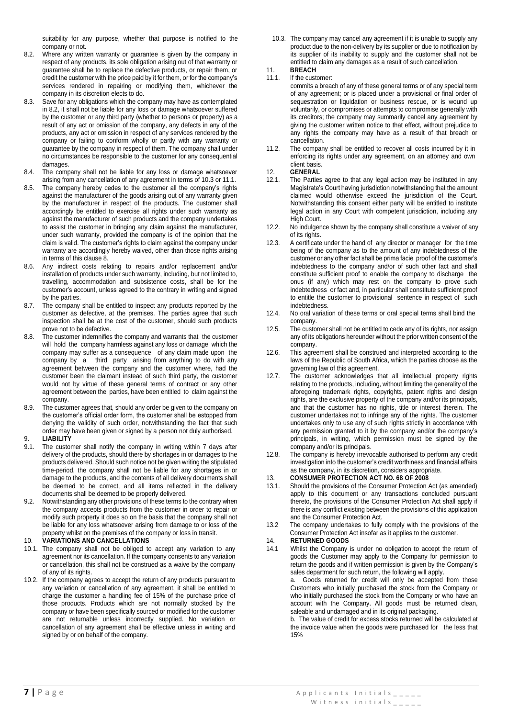suitability for any purpose, whether that purpose is notified to the company or not.

- 8.2. Where any written warranty or guarantee is given by the company in respect of any products, its sole obligation arising out of that warranty or guarantee shall be to replace the defective products, or repair them, or credit the customer with the price paid by it for them, or for the company's services rendered in repairing or modifying them, whichever the company in its discretion elects to do.
- 8.3. Save for any obligations which the company may have as contemplated in 8.2, it shall not be liable for any loss or damage whatsoever suffered by the customer or any third party (whether to persons or property) as a result of any act or omission of the company, any defects in any of the products, any act or omission in respect of any services rendered by the company or failing to conform wholly or partly with any warranty or guarantee by the company in respect of them. The company shall under no circumstances be responsible to the customer for any consequential damages.
- 8.4. The company shall not be liable for any loss or damage whatsoever arising from any cancellation of any agreement in terms of 10.3 or 11.1.
- 8.5. The company hereby cedes to the customer all the company's rights against the manufacturer of the goods arising out of any warranty given by the manufacturer in respect of the products. The customer shall accordingly be entitled to exercise all rights under such warranty as against the manufacturer of such products and the company undertakes to assist the customer in bringing any claim against the manufacturer, under such warranty, provided the company is of the opinion that the claim is valid. The customer's rights to claim against the company under warranty are accordingly hereby waived, other than those rights arising in terms of this clause 8.
- 8.6. Any indirect costs relating to repairs and/or replacement and/or installation of products under such warranty, including, but not limited to, travelling, accommodation and subsistence costs, shall be for the customer's account, unless agreed to the contrary in writing and signed by the parties.
- 8.7. The company shall be entitled to inspect any products reported by the customer as defective, at the premises. The parties agree that such inspection shall be at the cost of the customer, should such products prove not to be defective.
- 8.8. The customer indemnifies the company and warrants that the customer will hold the company harmless against any loss or damage which the company may suffer as a consequence of any claim made upon the company by a third party arising from anything to do with any agreement between the company and the customer where, had the customer been the claimant instead of such third party, the customer would not by virtue of these general terms of contract or any other agreement between the parties, have been entitled to claim against the company.
- 8.9. The customer agrees that, should any order be given to the company on the customer's official order form, the customer shall be estopped from denying the validity of such order, notwithstanding the fact that such order may have been given or signed by a person not duly authorised.

### 9. **LIABILITY**

- 9.1. The customer shall notify the company in writing within 7 days after delivery of the products, should there by shortages in or damages to the products delivered. Should such notice not be given writing the stipulated time-period, the company shall not be liable for any shortages in or damage to the products, and the contents of all delivery documents shall be deemed to be correct, and all items reflected in the delivery documents shall be deemed to be properly delivered.
- 9.2. Notwithstanding any other provisions of these terms to the contrary when the company accepts products from the customer in order to repair or modify such property it does so on the basis that the company shall not be liable for any loss whatsoever arising from damage to or loss of the property whilst on the premises of the company or loss in transit.

#### 10. **VARIATIONS AND CANCELLATIONS**

- 10.1. The company shall not be obliged to accept any variation to any agreement nor its cancellation. If the company consents to any variation or cancellation, this shall not be construed as a waive by the company of any of its rights.
- 10.2. If the company agrees to accept the return of any products pursuant to any variation or cancellation of any agreement, it shall be entitled to charge the customer a handling fee of 15% of the purchase price of those products. Products which are not normally stocked by the company or have been specifically sourced or modified for the customer are not returnable unless incorrectly supplied. No variation or cancellation of any agreement shall be effective unless in writing and signed by or on behalf of the company.

10.3. The company may cancel any agreement if it is unable to supply any product due to the non-delivery by its supplier or due to notification by its supplier of its inability to supply and the customer shall not be entitled to claim any damages as a result of such cancellation.

# 11. **BREACH**<br>11.1. If the cust

#### If the customer:

- commits a breach of any of these general terms or of any special term of any agreement; or is placed under a provisional or final order of sequestration or liquidation or business rescue, or is wound up voluntarily, or compromises or attempts to compromise generally with its creditors; the company may summarily cancel any agreement by giving the customer written notice to that effect, without prejudice to any rights the company may have as a result of that breach or cancellation.
- 11.2. The company shall be entitled to recover all costs incurred by it in enforcing its rights under any agreement, on an attorney and own client basis.

## 12. **GENERAL**<br>12.1. The Parties

- The Parties agree to that any legal action may be instituted in any Magistrate's Court having jurisdiction notwithstanding that the amount claimed would otherwise exceed the jurisdiction of the Court. Notwithstanding this consent either party will be entitled to institute legal action in any Court with competent jurisdiction, including any High Court.
- 12.2. No indulgence shown by the company shall constitute a waiver of any of its rights.
- 12.3. A certificate under the hand of any director or manager for the time being of the company as to the amount of any indebtedness of the customer or any other fact shall be prima facie proof of the customer's indebtedness to the company and/or of such other fact and shall constitute sufficient proof to enable the company to discharge the onus (if any) which may rest on the company to prove such indebtedness or fact and, in particular shall constitute sufficient proof to entitle the customer to provisional sentence in respect of such indebtedness.
- 12.4. No oral variation of these terms or oral special terms shall bind the company.
- 12.5. The customer shall not be entitled to cede any of its rights, nor assign any of its obligations hereunder without the prior written consent of the company.
- 12.6. This agreement shall be construed and interpreted according to the laws of the Republic of South Africa, which the parties choose as the governing law of this agreement.
- 12.7. The customer acknowledges that all intellectual property rights relating to the products, including, without limiting the generality of the aforegoing trademark rights, copyrights, patent rights and design rights, are the exclusive property of the company and/or its principals, and that the customer has no rights, title or interest therein. The customer undertakes not to infringe any of the rights. The customer undertakes only to use any of such rights strictly in accordance with any permission granted to it by the company and/or the company's principals, in writing, which permission must be signed by the company and/or its principals.
- 12.8. The company is hereby irrevocable authorised to perform any credit investigation into the customer's credit worthiness and financial affairs as the company, in its discretion, considers appropriate.

### 13. **CONSUMER PROTECTION ACT NO. 68 OF 2008**

- 13.1. Should the provisions of the Consumer Protection Act (as amended) apply to this document or any transactions concluded pursuant thereto, the provisions of the Consumer Protection Act shall apply if there is any conflict existing between the provisions of this application and the Consumer Protection Act.
- 13.2 The company undertakes to fully comply with the provisions of the Consumer Protection Act insofar as it applies to the customer.

## 14. **RETURNED GOODS**

Whilst the Company is under no obligation to accept the return of goods the Customer may apply to the Company for permission to return the goods and if written permission is given by the Company's sales department for such return, the following will apply.

a. Goods returned for credit will only be accepted from those Customers who initially purchased the stock from the Company or who initially purchased the stock from the Company or who have an account with the Company. All goods must be returned clean, saleable and undamaged and in its original packaging.

b. The value of credit for excess stocks returned will be calculated at the invoice value when the goods were purchased for the less that 15%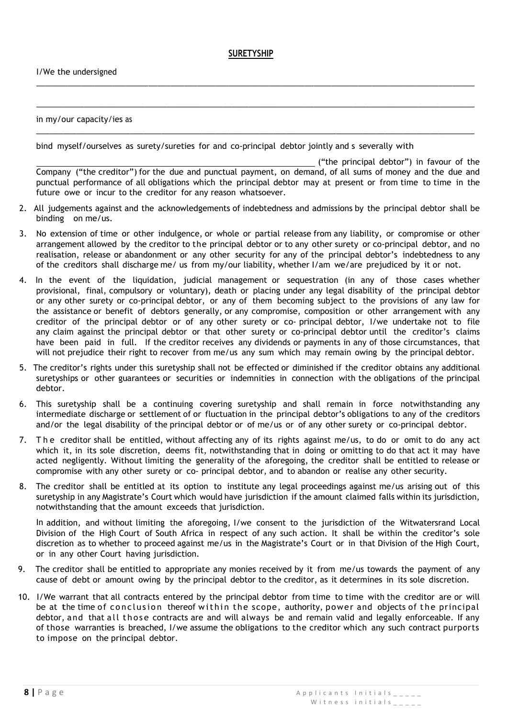## **SURETYSHIP**

 $\_$  ,  $\_$  ,  $\_$  ,  $\_$  ,  $\_$  ,  $\_$  ,  $\_$  ,  $\_$  ,  $\_$  ,  $\_$  ,  $\_$  ,  $\_$  ,  $\_$  ,  $\_$  ,  $\_$  ,  $\_$  ,  $\_$  ,  $\_$  ,  $\_$  ,  $\_$  ,  $\_$  ,  $\_$  ,  $\_$  ,  $\_$  ,  $\_$  ,  $\_$  ,  $\_$  ,  $\_$  ,  $\_$  ,  $\_$  ,  $\_$  ,  $\_$  ,  $\_$  ,  $\_$  ,  $\_$  ,  $\_$  ,  $\_$  ,

\_\_\_\_\_\_\_\_\_\_\_\_\_\_\_\_\_\_\_\_\_\_\_\_\_\_\_\_\_\_\_\_\_\_\_\_\_\_\_\_\_\_\_\_\_\_\_\_\_\_\_\_\_\_\_\_\_\_\_\_\_\_\_\_\_\_\_\_\_\_\_\_\_\_\_\_\_\_\_\_\_\_\_\_\_\_\_\_\_\_\_\_\_\_\_\_\_\_

in my/our capacity/ies as

bind myself/ourselves as surety/sureties for and co-principal debtor jointly and s severally with

3. \_\_\_\_\_\_\_\_\_\_\_\_\_\_\_\_\_\_\_\_\_\_\_\_\_\_\_\_\_\_\_\_\_\_\_\_\_\_\_\_\_\_\_\_\_\_\_\_\_\_\_\_\_\_\_\_\_\_\_\_\_\_\_\_\_\_\_\_\_\_\_\_\_\_\_\_\_\_\_\_\_\_\_\_\_\_\_\_\_\_\_\_\_\_\_\_\_\_\_\_\_

 ("the principal debtor") in favour of the Company ("the creditor") for the due and punctual payment, on demand, of all sums of money and the due and punctual performance of all obligations which the principal debtor may at present or from time to time in the future owe or incur to the creditor for any reason whatsoever.

- 2. All judgements against and the acknowledgements of indebtedness and admissions by the principal debtor shall be binding on me/us.
- 3. No extension of time or other indulgence, or whole or partial release from any liability, or compromise or other arrangement allowed by the creditor to the principal debtor or to any other surety or co-principal debtor, and no realisation, release or abandonment or any other security for any of the principal debtor's indebtedness to any of the creditors shall discharge me/ us from my/our liability, whether I/am we/are prejudiced by it or not.
- 4. In the event of the liquidation, judicial management or sequestration (in any of those cases whether provisional, final, compulsory or voluntary), death or placing under any legal disability of the principal debtor or any other surety or co-principal debtor, or any of them becoming subject to the provisions of any law for the assistance or benefit of debtors generally, or any compromise, composition or other arrangement with any creditor of the principal debtor or of any other surety or co- principal debtor, I/we undertake not to file any claim against the principal debtor or that other surety or co-principal debtor until the creditor's claims have been paid in full. If the creditor receives any dividends or payments in any of those circumstances, that will not prejudice their right to recover from me/us any sum which may remain owing by the principal debtor.
- 5. The creditor's rights under this suretyship shall not be effected or diminished if the creditor obtains any additional suretyships or other guarantees or securities or indemnities in connection with the obligations of the principal debtor.
- 6. This suretyship shall be a continuing covering suretyship and shall remain in force notwithstanding any intermediate discharge or settlement of or fluctuation in the principal debtor's obligations to any of the creditors and/or the legal disability of the principal debtor or of me/us or of any other surety or co-principal debtor.
- 7. T h e creditor shall be entitled, without affecting any of its rights against me/us, to do or omit to do any act which it, in its sole discretion, deems fit, notwithstanding that in doing or omitting to do that act it may have acted negligently. Without limiting the generality of the aforegoing, the creditor shall be entitled to release or compromise with any other surety or co- principal debtor, and to abandon or realise any other security.
- 8. The creditor shall be entitled at its option to institute any legal proceedings against me/us arising out of this suretyship in any Magistrate's Court which would have jurisdiction if the amount claimed falls within its jurisdiction, notwithstanding that the amount exceeds that jurisdiction.

In addition, and without limiting the aforegoing, I/we consent to the jurisdiction of the Witwatersrand Local Division of the High Court of South Africa in respect of any such action. It shall be within the creditor's sole discretion as to whether to proceed against me/us in the Magistrate's Court or in that Division of the High Court, or in any other Court having jurisdiction.

- 9. The creditor shall be entitled to appropriate any monies received by it from me/us towards the payment of any cause of debt or amount owing by the principal debtor to the creditor, as it determines in its sole discretion.
- 10. I/We warrant that all contracts entered by the principal debtor from time to time with the creditor are or will be at the time of conclusion thereof within the scope, authority, power and objects of the principal debtor, and that all those contracts are and will always be and remain valid and legally enforceable. If any of those warranties is breached, I/we assume the obligations to the creditor which any such contract purports to impose on the principal debtor.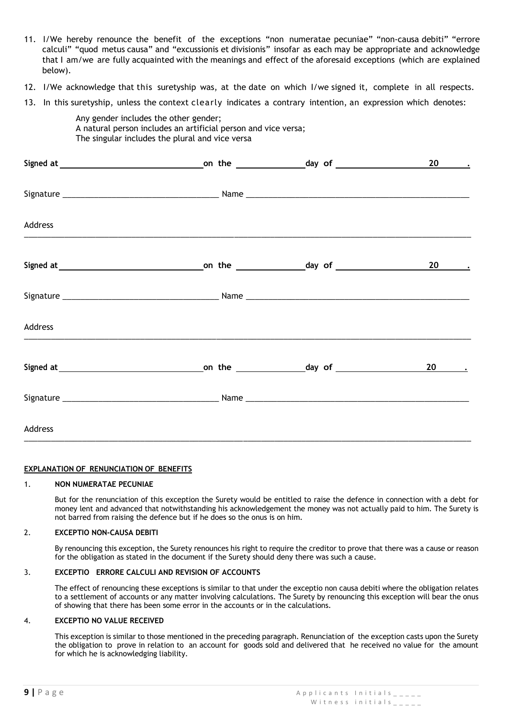- 11. I/We hereby renounce the benefit of the exceptions "non numeratae pecuniae" "non-causa debiti" "errore calculi" "quod metus causa" and "excussionis et divisionis" insofar as each may be appropriate and acknowledge that I am/we are fully acquainted with the meanings and effect of the aforesaid exceptions (which are explained below).
- 12. I/We acknowledge that this suretyship was, at the date on which I/we signed it, complete in all respects.
- 13. In this suretyship, unless the context clearly indicates a contrary intention, an expression which denotes:

Any gender includes the other gender; A natural person includes an artificial person and vice versa; The singular includes the plural and vice versa

|         |  | 20 .   |
|---------|--|--------|
|         |  |        |
| Address |  |        |
|         |  | $20$ . |
|         |  |        |
| Address |  |        |
|         |  |        |
|         |  |        |
| Address |  |        |

### **EXPLANATION OF RENUNCIATION OF BENEFITS**

### 1. **NON NUMERATAE PECUNIAE**

But for the renunciation of this exception the Surety would be entitled to raise the defence in connection with a debt for money lent and advanced that notwithstanding his acknowledgement the money was not actually paid to him. The Surety is not barred from raising the defence but if he does so the onus is on him.

### 2. **EXCEPTIO NON-CAUSA DEBITI**

By renouncing this exception, the Surety renounces his right to require the creditor to prove that there was a cause or reason for the obligation as stated in the document if the Surety should deny there was such a cause.

### 3. **EXCEPTIO ERRORE CALCULI AND REVISION OF ACCOUNTS**

The effect of renouncing these exceptions is similar to that under the exceptio non causa debiti where the obligation relates to a settlement of accounts or any matter involving calculations. The Surety by renouncing this exception will bear the onus of showing that there has been some error in the accounts or in the calculations.

### 4. **EXCEPTIO NO VALUE RECEIVED**

This exception is similar to those mentioned in the preceding paragraph. Renunciation of the exception casts upon the Surety the obligation to prove in relation to an account for goods sold and delivered that he received no value for the amount for which he is acknowledging liability.